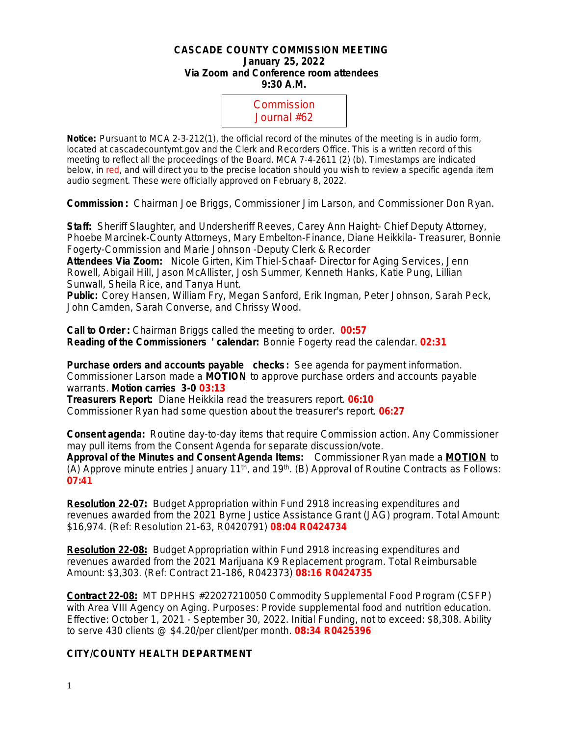### **CASCADE COUNTY COMMISSION MEETING January 25, 2022 Via Zoom and Conference room attendees 9:30 A.M.**



**Notice:** Pursuant to MCA 2-3-212(1), the official record of the minutes of the meeting is in audio form, located at cascadecountymt.gov and the Clerk and Recorders Office. This is a written record of this meeting to reflect all the proceedings of the Board. MCA 7-4-2611 (2) (b). Timestamps are indicated below, in red, and will direct you to the precise location should you wish to review a specific agenda item audio segment. These were officially approved on February 8, 2022.

**Commission :** Chairman Joe Briggs, Commissioner Jim Larson, and Commissioner Don Ryan.

**Staff:** Sheriff Slaughter, and Undersheriff Reeves, Carey Ann Haight- Chief Deputy Attorney, Phoebe Marcinek-County Attorneys, Mary Embelton-Finance, Diane Heikkila- Treasurer, Bonnie Fogerty-Commission and Marie Johnson -Deputy Clerk & Recorder

**Attendees Via Zoom:** Nicole Girten, Kim Thiel-Schaaf- Director for Aging Services, Jenn Rowell, Abigail Hill, Jason McAllister, Josh Summer, Kenneth Hanks, Katie Pung, Lillian Sunwall, Sheila Rice, and Tanya Hunt.

**Public:** Corey Hansen, William Fry, Megan Sanford, Erik Ingman, Peter Johnson, Sarah Peck, John Camden, Sarah Converse, and Chrissy Wood.

**Call to Order :** Chairman Briggs called the meeting to order. **00:57 Reading of the Commissioners** ' **calendar:** Bonnie Fogerty read the calendar. **02:31**

**Purchase orders and accounts payable checks:** *See agenda for payment information.* Commissioner Larson made a **MOTION** to approve purchase orders and accounts payable warrants. **Motion carries 3-0 03:13**

**Treasurers Report:** Diane Heikkila read the treasurers report. **06:10** Commissioner Ryan had some question about the treasurer's report. **06:27**

**Consent agenda:** Routine day-to-day items that require Commission action. Any Commissioner may pull items from the Consent Agenda for separate discussion/vote. **Approval of the Minutes and Consent Agenda Items:** Commissioner Ryan made a **MOTION** to (A) Approve minute entries January 11<sup>th</sup>, and 19<sup>th</sup>. (B) Approval of Routine Contracts as Follows: **07:41**

**Resolution 22-07:** Budget Appropriation within Fund 2918 increasing expenditures and revenues awarded from the 2021 Byrne Justice Assistance Grant (JAG) program. Total Amount: \$16,974. (Ref: Resolution 21-63, R0420791) **08:04 R0424734**

**Resolution 22-08:** Budget Appropriation within Fund 2918 increasing expenditures and revenues awarded from the 2021 Marijuana K9 Replacement program. Total Reimbursable Amount: \$3,303. (Ref: Contract 21-186, R042373) **08:16 R0424735**

**Contract 22-08:** MT DPHHS #22027210050 Commodity Supplemental Food Program (CSFP) with Area VIII Agency on Aging. Purposes: Provide supplemental food and nutrition education. Effective: October 1, 2021 - September 30, 2022. Initial Funding, not to exceed: \$8,308. Ability to serve 430 clients @ \$4.20/per client/per month. **08:34 R0425396**

### **CITY/COUNTY HEALTH DEPARTMENT**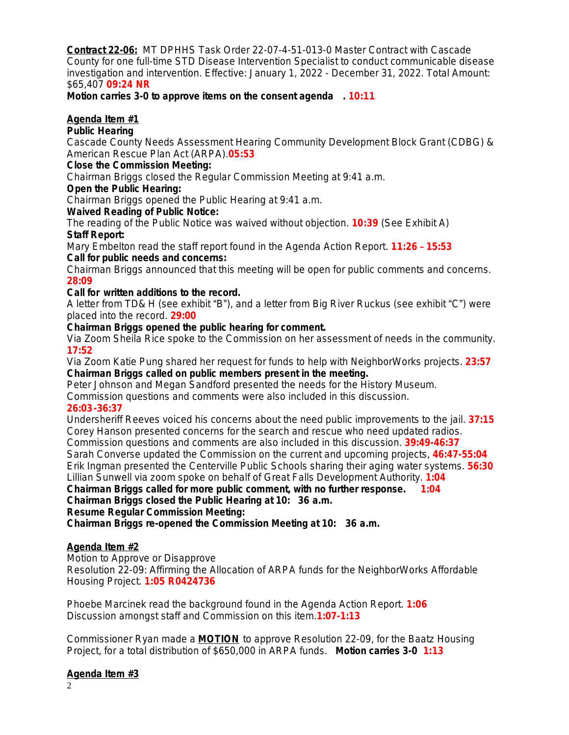**Contract 22-06:** MT DPHHS Task Order 22-07-4-51-013-0 Master Contract with Cascade County for one full-time STD Disease Intervention Specialist to conduct communicable disease investigation and intervention. Effective: January 1, 2022 - December 31, 2022. Total Amount: \$65,407 **09:24 NR**

**Motion carries 3-0 to approve items on the consent agenda . 10:11**

# **Agenda Item #1**

### **Public Hearing**

Cascade County Needs Assessment Hearing Community Development Block Grant (CDBG) & American Rescue Plan Act (ARPA).**05:53**

## **Close the Commission Meeting:**

Chairman Briggs closed the Regular Commission Meeting at 9:41 a.m.

## **Open the Public Hearing:**

Chairman Briggs opened the Public Hearing at 9:41 a.m.

## **Waived Reading of Public Notice:**

The reading of the Public Notice was waived without objection. **10:39** (See Exhibit A) **Staff Report:**

Mary Embelton read the staff report found in the Agenda Action Report. **11:26** – **15:53 Call for public needs and concerns:**

Chairman Briggs announced that this meeting will be open for public comments and concerns. **28:09**

## **Call for written additions to the record.**

A letter from TD& H (see exhibit "B"), and a letter from Big River Ruckus (see exhibit "C") were placed into the record. **29:00**

### **Chairman Briggs opened the public hearing for comment.**

Via Zoom Sheila Rice spoke to the Commission on her assessment of needs in the community. **17:52**

Via Zoom Katie Pung shared her request for funds to help with NeighborWorks projects. **23:57 Chairman Briggs called on public members present in the meeting.**

Peter Johnson and Megan Sandford presented the needs for the History Museum.

Commission questions and comments were also included in this discussion.

# **26:03-36:37**

Undersheriff Reeves voiced his concerns about the need public improvements to the jail. **37:15** Corey Hanson presented concerns for the search and rescue who need updated radios. Commission questions and comments are also included in this discussion. **39:49-46:37** Sarah Converse updated the Commission on the current and upcoming projects, **46:47-55:04** Erik Ingman presented the Centerville Public Schools sharing their aging water systems. **56:30** Lillian Sunwell via zoom spoke on behalf of Great Falls Development Authority. **1:04**

**Chairman Briggs called for more public comment, with no further response. 1:04 Chairman Briggs closed the Public Hearing at 10: 36 a.m.**

**Resume Regular Commission Meeting:**

**Chairman Briggs re-opened the Commission Meeting at 10: 36 a.m.**

# **Agenda Item #2**

Motion to Approve or Disapprove Resolution 22-09: Affirming the Allocation of ARPA funds for the NeighborWorks Affordable Housing Project. **1:05 R0424736**

Phoebe Marcinek read the background found in the Agenda Action Report. **1:06** Discussion amongst staff and Commission on this item.**1:07-1:13**

Commissioner Ryan made a **MOTION** to approve Resolution 22-09, for the Baatz Housing Project, for a total distribution of \$650,000 in ARPA funds. **Motion carries 3-0 1:13**

# **Agenda Item #3**